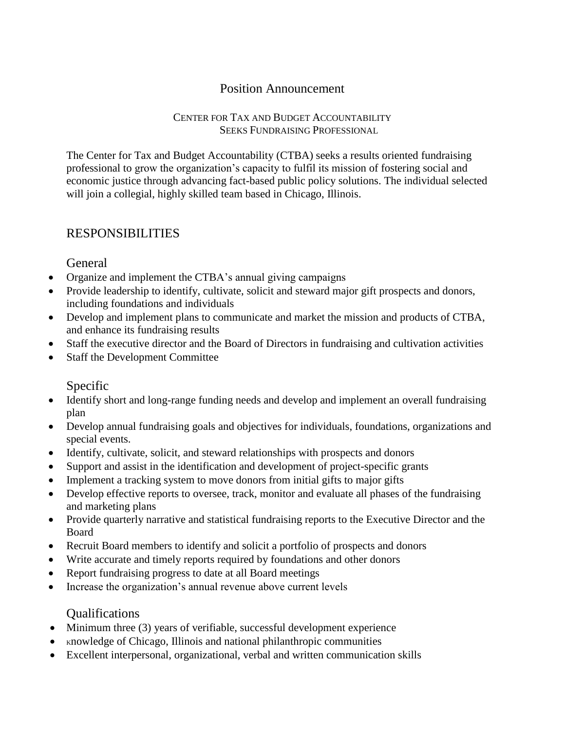## Position Announcement

#### CENTER FOR TAX AND BUDGET ACCOUNTABILITY SEEKS FUNDRAISING PROFESSIONAL

The Center for Tax and Budget Accountability (CTBA) seeks a results oriented fundraising professional to grow the organization's capacity to fulfil its mission of fostering social and economic justice through advancing fact-based public policy solutions. The individual selected will join a collegial, highly skilled team based in Chicago, Illinois.

# RESPONSIBILITIES

General

- Organize and implement the CTBA's annual giving campaigns
- Provide leadership to identify, cultivate, solicit and steward major gift prospects and donors, including foundations and individuals
- Develop and implement plans to communicate and market the mission and products of CTBA, and enhance its fundraising results
- Staff the executive director and the Board of Directors in fundraising and cultivation activities
- Staff the Development Committee

### Specific

- Identify short and long-range funding needs and develop and implement an overall fundraising plan
- Develop annual fundraising goals and objectives for individuals, foundations, organizations and special events.
- Identify, cultivate, solicit, and steward relationships with prospects and donors
- Support and assist in the identification and development of project-specific grants
- Implement a tracking system to move donors from initial gifts to major gifts
- Develop effective reports to oversee, track, monitor and evaluate all phases of the fundraising and marketing plans
- Provide quarterly narrative and statistical fundraising reports to the Executive Director and the Board
- Recruit Board members to identify and solicit a portfolio of prospects and donors
- Write accurate and timely reports required by foundations and other donors
- Report fundraising progress to date at all Board meetings
- Increase the organization's annual revenue above current levels

## Qualifications

- Minimum three (3) years of verifiable, successful development experience
- $\bullet$  knowledge of Chicago, Illinois and national philanthropic communities
- Excellent interpersonal, organizational, verbal and written communication skills